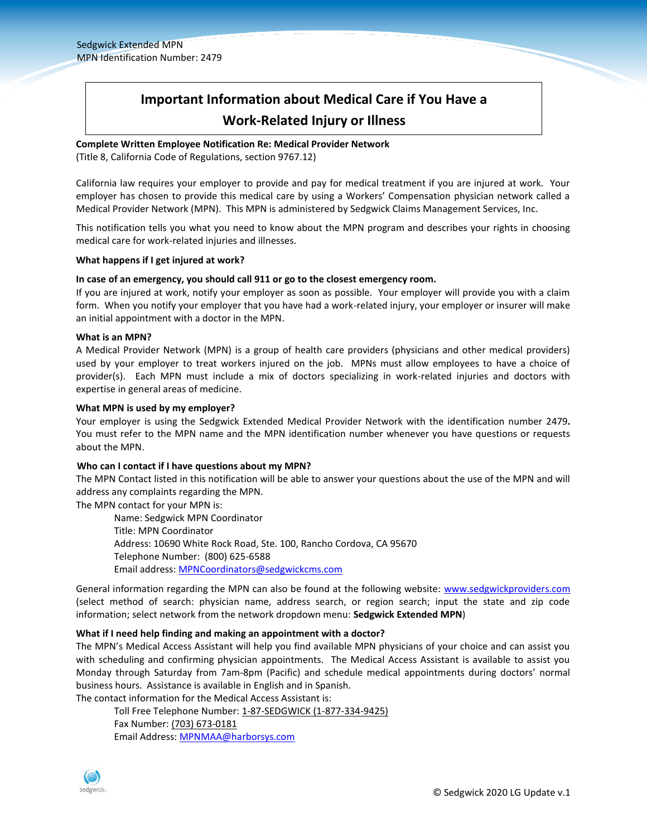# **Important Information about Medical Care if You Have a Work-Related Injury or Illness**

# **Complete Written Employee Notification Re: Medical Provider Network**

(Title 8, California Code of Regulations, section 9767.12)

California law requires your employer to provide and pay for medical treatment if you are injured at work. Your employer has chosen to provide this medical care by using a Workers' Compensation physician network called a Medical Provider Network (MPN). This MPN is administered by Sedgwick Claims Management Services, Inc.

This notification tells you what you need to know about the MPN program and describes your rights in choosing medical care for work-related injuries and illnesses.

#### **What happens if I get injured at work?**

#### **In case of an emergency, you should call 911 or go to the closest emergency room.**

If you are injured at work, notify your employer as soon as possible. Your employer will provide you with a claim form. When you notify your employer that you have had a work-related injury, your employer or insurer will make an initial appointment with a doctor in the MPN.

#### **What is an MPN?**

A Medical Provider Network (MPN) is a group of health care providers (physicians and other medical providers) used by your employer to treat workers injured on the job. MPNs must allow employees to have a choice of provider(s). Each MPN must include a mix of doctors specializing in work-related injuries and doctors with expertise in general areas of medicine.

#### **What MPN is used by my employer?**

Your employer is using the Sedgwick Extended Medical Provider Network with the identification number 2479**.** You must refer to the MPN name and the MPN identification number whenever you have questions or requests about the MPN.

#### **Who can I contact if I have questions about my MPN?**

The MPN Contact listed in this notification will be able to answer your questions about the use of the MPN and will address any complaints regarding the MPN.

The MPN contact for your MPN is:

Name: Sedgwick MPN Coordinator Title: MPN Coordinator Address: 10690 White Rock Road, Ste. 100, Rancho Cordova, CA 95670 Telephone Number: (800) 625-6588 Email address: [MPNCoordinators@sedgwickcms.com](mailto:MPNCoordinators@sedgwickcms.com)

General information regarding the MPN can also be found at the following website: [www.sedgwickproviders.com](http://www.sedgwickproviders.com/) (select method of search: physician name, address search, or region search; input the state and zip code information; select network from the network dropdown menu: **Sedgwick Extended MPN**)

#### **What if I need help finding and making an appointment with a doctor?**

The MPN's Medical Access Assistant will help you find available MPN physicians of your choice and can assist you with scheduling and confirming physician appointments. The Medical Access Assistant is available to assist you Monday through Saturday from 7am-8pm (Pacific) and schedule medical appointments during doctors' normal business hours. Assistance is available in English and in Spanish.

The contact information for the Medical Access Assistant is: Toll Free Telephone Number: 1-87-SEDGWICK (1-877-334-9425) Fax Number: (703) 673-0181

Email Address: [MPNMAA@harborsys.com](mailto:MPNMAA@harborsys.com)

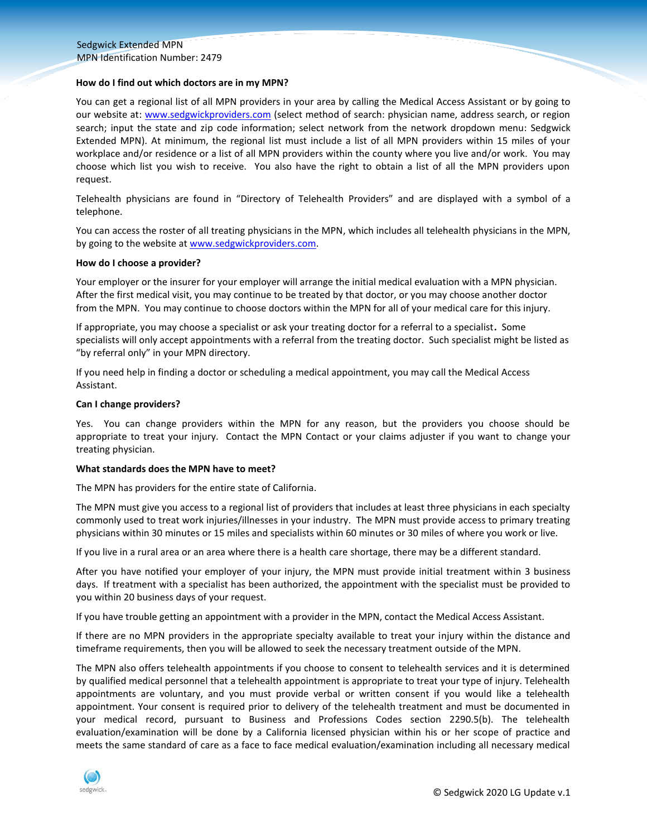#### **How do I find out which doctors are in my MPN?**

You can get a regional list of all MPN providers in your area by calling the Medical Access Assistant or by going to our website at: [www.sedgwickproviders.com](http://www.sedgwickproviders.com/) (select method of search: physician name, address search, or region search; input the state and zip code information; select network from the network dropdown menu: Sedgwick Extended MPN). At minimum, the regional list must include a list of all MPN providers within 15 miles of your workplace and/or residence or a list of all MPN providers within the county where you live and/or work. You may choose which list you wish to receive. You also have the right to obtain a list of all the MPN providers upon request.

Telehealth physicians are found in "Directory of Telehealth Providers" and are displayed with a symbol of a telephone.

You can access the roster of all treating physicians in the MPN, which includes all telehealth physicians in the MPN, by going to the website at www.sedgwickproviders.com.

#### **How do I choose a provider?**

Your employer or the insurer for your employer will arrange the initial medical evaluation with a MPN physician. After the first medical visit, you may continue to be treated by that doctor, or you may choose another doctor from the MPN. You may continue to choose doctors within the MPN for all of your medical care for this injury.

If appropriate, you may choose a specialist or ask your treating doctor for a referral to a specialist**.** Some specialists will only accept appointments with a referral from the treating doctor. Such specialist might be listed as "by referral only" in your MPN directory.

If you need help in finding a doctor or scheduling a medical appointment, you may call the Medical Access Assistant.

#### **Can I change providers?**

Yes. You can change providers within the MPN for any reason, but the providers you choose should be appropriate to treat your injury. Contact the MPN Contact or your claims adjuster if you want to change your treating physician.

#### **What standards does the MPN have to meet?**

The MPN has providers for the entire state of California.

The MPN must give you access to a regional list of providers that includes at least three physicians in each specialty commonly used to treat work injuries/illnesses in your industry. The MPN must provide access to primary treating physicians within 30 minutes or 15 miles and specialists within 60 minutes or 30 miles of where you work or live.

If you live in a rural area or an area where there is a health care shortage, there may be a different standard.

After you have notified your employer of your injury, the MPN must provide initial treatment within 3 business days. If treatment with a specialist has been authorized, the appointment with the specialist must be provided to you within 20 business days of your request.

If you have trouble getting an appointment with a provider in the MPN, contact the Medical Access Assistant.

If there are no MPN providers in the appropriate specialty available to treat your injury within the distance and timeframe requirements, then you will be allowed to seek the necessary treatment outside of the MPN.

The MPN also offers telehealth appointments if you choose to consent to telehealth services and it is determined by qualified medical personnel that a telehealth appointment is appropriate to treat your type of injury. Telehealth appointments are voluntary, and you must provide verbal or written consent if you would like a telehealth appointment. Your consent is required prior to delivery of the telehealth treatment and must be documented in your medical record, pursuant to Business and Professions Codes section 2290.5(b). The telehealth evaluation/examination will be done by a California licensed physician within his or her scope of practice and meets the same standard of care as a face to face medical evaluation/examination including all necessary medical

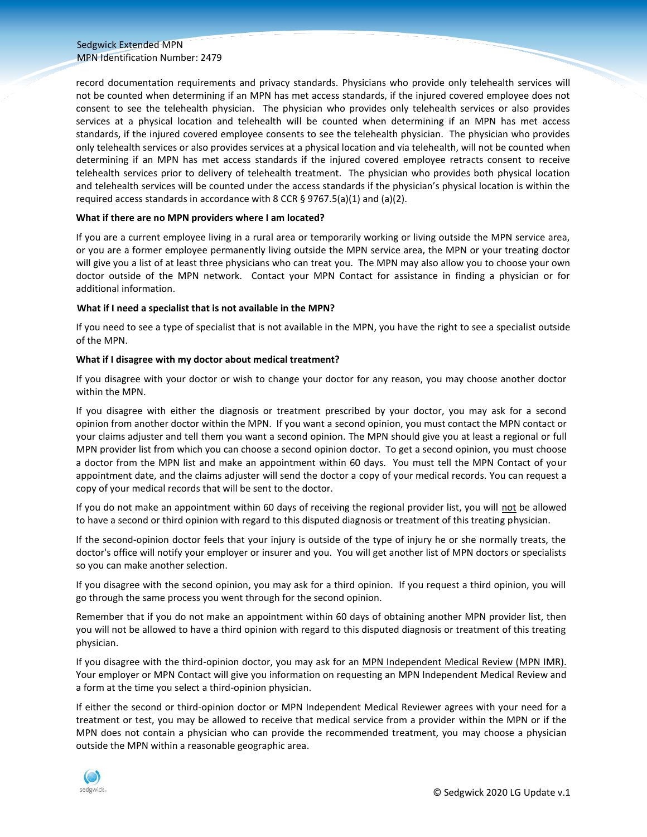#### Sedgwick Extended MPN MPN Identification Number: 2479

record documentation requirements and privacy standards. Physicians who provide only telehealth services will not be counted when determining if an MPN has met access standards, if the injured covered employee does not consent to see the telehealth physician. The physician who provides only telehealth services or also provides services at a physical location and telehealth will be counted when determining if an MPN has met access standards, if the injured covered employee consents to see the telehealth physician. The physician who provides only telehealth services or also provides services at a physical location and via telehealth, will not be counted when determining if an MPN has met access standards if the injured covered employee retracts consent to receive telehealth services prior to delivery of telehealth treatment. The physician who provides both physical location and telehealth services will be counted under the access standards if the physician's physical location is within the required access standards in accordance with 8 CCR § 9767.5(a)(1) and (a)(2).

#### **What if there are no MPN providers where I am located?**

If you are a current employee living in a rural area or temporarily working or living outside the MPN service area, or you are a former employee permanently living outside the MPN service area, the MPN or your treating doctor will give you a list of at least three physicians who can treat you. The MPN may also allow you to choose your own doctor outside of the MPN network. Contact your MPN Contact for assistance in finding a physician or for additional information.

# **What if I need a specialist that is not available in the MPN?**

If you need to see a type of specialist that is not available in the MPN, you have the right to see a specialist outside of the MPN.

# **What if I disagree with my doctor about medical treatment?**

If you disagree with your doctor or wish to change your doctor for any reason, you may choose another doctor within the MPN.

If you disagree with either the diagnosis or treatment prescribed by your doctor, you may ask for a second opinion from another doctor within the MPN. If you want a second opinion, you must contact the MPN contact or your claims adjuster and tell them you want a second opinion. The MPN should give you at least a regional or full MPN provider list from which you can choose a second opinion doctor. To get a second opinion, you must choose a doctor from the MPN list and make an appointment within 60 days. You must tell the MPN Contact of your appointment date, and the claims adjuster will send the doctor a copy of your medical records. You can request a copy of your medical records that will be sent to the doctor.

If you do not make an appointment within 60 days of receiving the regional provider list, you will not be allowed to have a second or third opinion with regard to this disputed diagnosis or treatment of this treating physician.

If the second-opinion doctor feels that your injury is outside of the type of injury he or she normally treats, the doctor's office will notify your employer or insurer and you. You will get another list of MPN doctors or specialists so you can make another selection.

If you disagree with the second opinion, you may ask for a third opinion. If you request a third opinion, you will go through the same process you went through for the second opinion.

Remember that if you do not make an appointment within 60 days of obtaining another MPN provider list, then you will not be allowed to have a third opinion with regard to this disputed diagnosis or treatment of this treating physician.

If you disagree with the third-opinion doctor, you may ask for an MPN Independent Medical Review (MPN IMR). Your employer or MPN Contact will give you information on requesting an MPN Independent Medical Review and a form at the time you select a third-opinion physician.

If either the second or third-opinion doctor or MPN Independent Medical Reviewer agrees with your need for a treatment or test, you may be allowed to receive that medical service from a provider within the MPN or if the MPN does not contain a physician who can provide the recommended treatment, you may choose a physician outside the MPN within a reasonable geographic area.

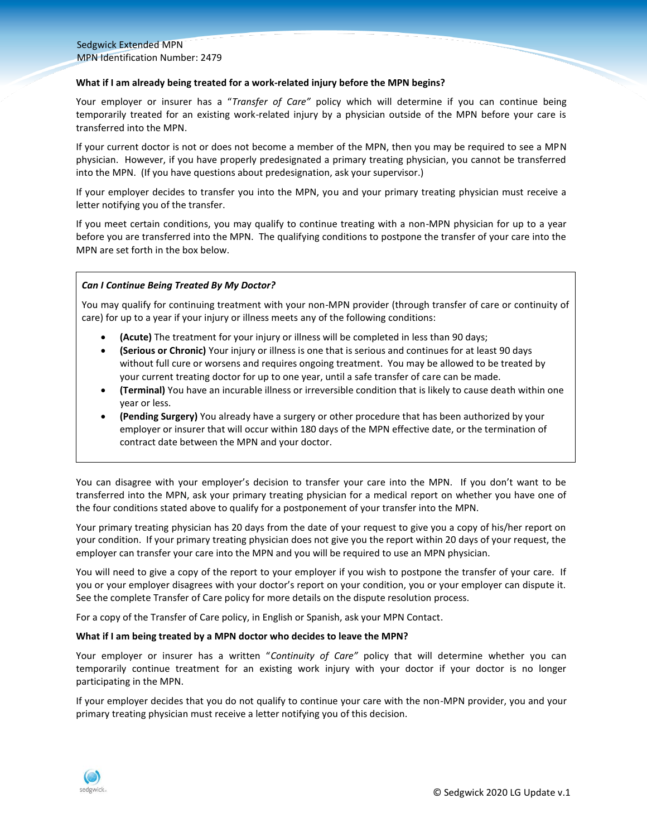#### Sedgwick Extended MPN MPN Identification Number: 2479

#### **What if I am already being treated for a work-related injury before the MPN begins?**

Your employer or insurer has a "*Transfer of Care"* policy which will determine if you can continue being temporarily treated for an existing work-related injury by a physician outside of the MPN before your care is transferred into the MPN.

If your current doctor is not or does not become a member of the MPN, then you may be required to see a MPN physician. However, if you have properly predesignated a primary treating physician, you cannot be transferred into the MPN. (If you have questions about predesignation, ask your supervisor.)

If your employer decides to transfer you into the MPN, you and your primary treating physician must receive a letter notifying you of the transfer.

If you meet certain conditions, you may qualify to continue treating with a non-MPN physician for up to a year before you are transferred into the MPN. The qualifying conditions to postpone the transfer of your care into the MPN are set forth in the box below.

# *Can I Continue Being Treated By My Doctor?*

You may qualify for continuing treatment with your non-MPN provider (through transfer of care or continuity of care) for up to a year if your injury or illness meets any of the following conditions:

- **(Acute)** The treatment for your injury or illness will be completed in less than 90 days;
- **(Serious or Chronic)** Your injury or illness is one that is serious and continues for at least 90 days without full cure or worsens and requires ongoing treatment. You may be allowed to be treated by your current treating doctor for up to one year, until a safe transfer of care can be made.
- **(Terminal)** You have an incurable illness or irreversible condition that is likely to cause death within one year or less.
- **(Pending Surgery)** You already have a surgery or other procedure that has been authorized by your employer or insurer that will occur within 180 days of the MPN effective date, or the termination of contract date between the MPN and your doctor.

You can disagree with your employer's decision to transfer your care into the MPN. If you don't want to be transferred into the MPN, ask your primary treating physician for a medical report on whether you have one of the four conditions stated above to qualify for a postponement of your transfer into the MPN.

Your primary treating physician has 20 days from the date of your request to give you a copy of his/her report on your condition. If your primary treating physician does not give you the report within 20 days of your request, the employer can transfer your care into the MPN and you will be required to use an MPN physician.

You will need to give a copy of the report to your employer if you wish to postpone the transfer of your care. If you or your employer disagrees with your doctor's report on your condition, you or your employer can dispute it. See the complete Transfer of Care policy for more details on the dispute resolution process.

For a copy of the Transfer of Care policy, in English or Spanish, ask your MPN Contact.

#### **What if I am being treated by a MPN doctor who decides to leave the MPN?**

Your employer or insurer has a written "*Continuity of Care"* policy that will determine whether you can temporarily continue treatment for an existing work injury with your doctor if your doctor is no longer participating in the MPN.

If your employer decides that you do not qualify to continue your care with the non-MPN provider, you and your primary treating physician must receive a letter notifying you of this decision.